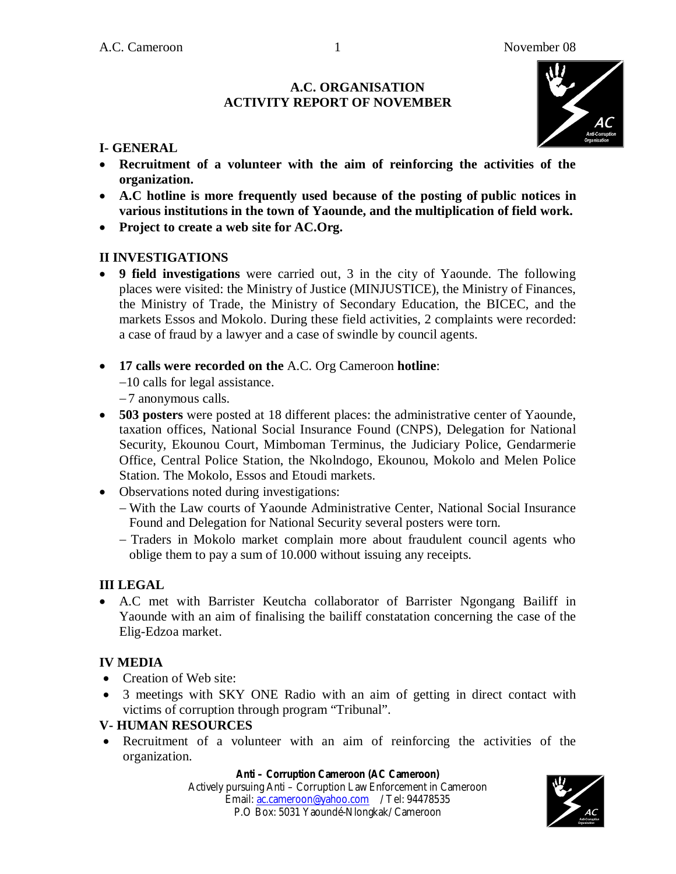### **A.C. ORGANISATION ACTIVITY REPORT OF NOVEMBER**



## **I- GENERAL**

- **Recruitment of a volunteer with the aim of reinforcing the activities of the organization.**
- **A.C hotline is more frequently used because of the posting of public notices in various institutions in the town of Yaounde, and the multiplication of field work.**
- **Project to create a web site for AC.Org.**

## **II INVESTIGATIONS**

- **9 field investigations** were carried out, 3 in the city of Yaounde. The following places were visited: the Ministry of Justice (MINJUSTICE), the Ministry of Finances, the Ministry of Trade, the Ministry of Secondary Education, the BICEC, and the markets Essos and Mokolo. During these field activities, 2 complaints were recorded: a case of fraud by a lawyer and a case of swindle by council agents.
- **17 calls were recorded on the** A.C. Org Cameroon **hotline**:
	- 10 calls for legal assistance.
	- 7 anonymous calls.
- **503 posters** were posted at 18 different places: the administrative center of Yaounde, taxation offices, National Social Insurance Found (CNPS), Delegation for National Security, Ekounou Court, Mimboman Terminus, the Judiciary Police, Gendarmerie Office, Central Police Station, the Nkolndogo, Ekounou, Mokolo and Melen Police Station. The Mokolo, Essos and Etoudi markets.
- Observations noted during investigations:
	- With the Law courts of Yaounde Administrative Center, National Social Insurance Found and Delegation for National Security several posters were torn.
	- Traders in Mokolo market complain more about fraudulent council agents who oblige them to pay a sum of 10.000 without issuing any receipts.

## **III LEGAL**

 A.C met with Barrister Keutcha collaborator of Barrister Ngongang Bailiff in Yaounde with an aim of finalising the bailiff constatation concerning the case of the Elig-Edzoa market.

## **IV MEDIA**

- Creation of Web site:
- 3 meetings with SKY ONE Radio with an aim of getting in direct contact with victims of corruption through program "Tribunal".

## **V- HUMAN RESOURCES**

 Recruitment of a volunteer with an aim of reinforcing the activities of the organization.

#### **Anti – Corruption Cameroon (AC Cameroon)**

Actively pursuing Anti – Corruption Law Enforcement in Cameroon Email: ac.cameroon@yahoo.com / Tel: 94478535 P.O Box: 5031 Yaoundé-Nlongkak/ Cameroon



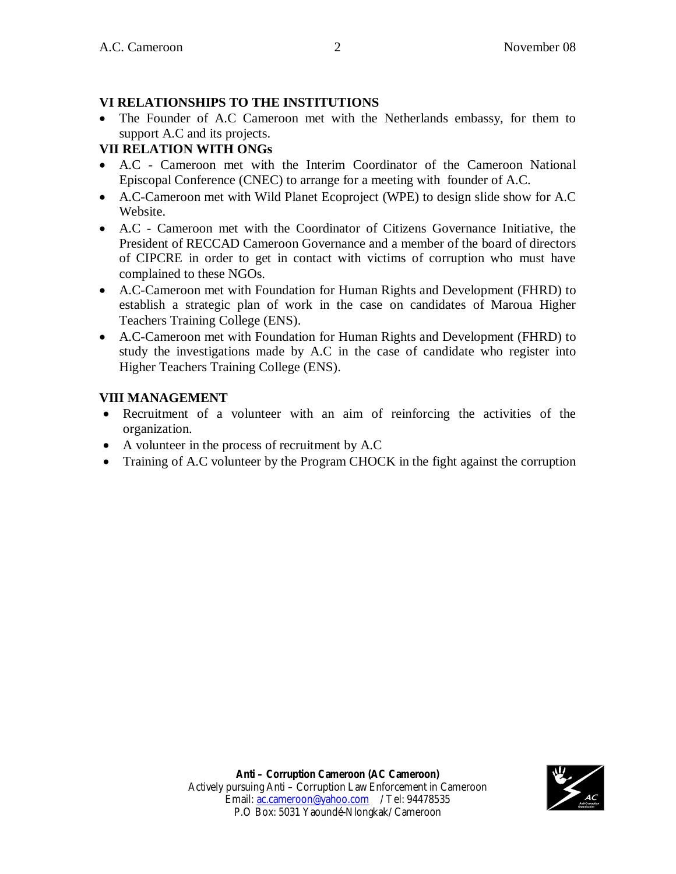# **VI RELATIONSHIPS TO THE INSTITUTIONS**

 The Founder of A.C Cameroon met with the Netherlands embassy, for them to support A.C and its projects.

# **VII RELATION WITH ONGs**

- A.C Cameroon met with the Interim Coordinator of the Cameroon National Episcopal Conference (CNEC) to arrange for a meeting with founder of A.C.
- A.C-Cameroon met with Wild Planet Ecoproject (WPE) to design slide show for A.C Website.
- A.C Cameroon met with the Coordinator of Citizens Governance Initiative, the President of RECCAD Cameroon Governance and a member of the board of directors of CIPCRE in order to get in contact with victims of corruption who must have complained to these NGOs.
- A.C-Cameroon met with Foundation for Human Rights and Development (FHRD) to establish a strategic plan of work in the case on candidates of Maroua Higher Teachers Training College (ENS).
- A.C-Cameroon met with Foundation for Human Rights and Development (FHRD) to study the investigations made by A.C in the case of candidate who register into Higher Teachers Training College (ENS).

# **VIII MANAGEMENT**

- Recruitment of a volunteer with an aim of reinforcing the activities of the organization.
- A volunteer in the process of recruitment by A.C
- Training of A.C volunteer by the Program CHOCK in the fight against the corruption